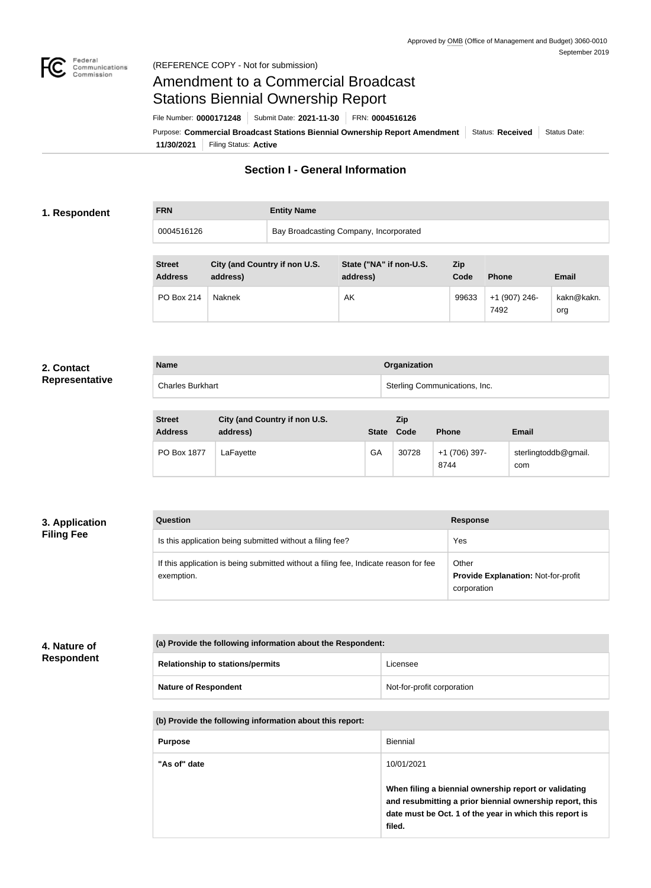

# Amendment to a Commercial Broadcast Stations Biennial Ownership Report

File Number: **0000171248** Submit Date: **2021-11-30** FRN: **0004516126**

**11/30/2021** Filing Status: **Active** Purpose: Commercial Broadcast Stations Biennial Ownership Report Amendment Status: Received Status Date:

# **Section I - General Information**

#### **1. Respondent**

**FRN Entity Name** 0004516126 **Bay Broadcasting Company, Incorporated** 

| <b>Street</b><br><b>Address</b> | City (and Country if non U.S.<br>address) | State ("NA" if non-U.S.<br>address) | <b>Zip</b><br>Code | <b>Phone</b>          | <b>Email</b>      |
|---------------------------------|-------------------------------------------|-------------------------------------|--------------------|-----------------------|-------------------|
| PO Box 214                      | Naknek                                    | AK                                  | 99633              | +1 (907) 246-<br>7492 | kakn@kakn.<br>org |

#### **2. Contact Representative**

| <b>Name</b>             | Organization                  |
|-------------------------|-------------------------------|
| <b>Charles Burkhart</b> | Sterling Communications, Inc. |
|                         |                               |

| <b>Street</b><br><b>Address</b> | City (and Country if non U.S.<br>address) |    | Zip<br>State Code | <b>Phone</b>          | <b>Email</b>                |
|---------------------------------|-------------------------------------------|----|-------------------|-----------------------|-----------------------------|
| PO Box 1877                     | LaFayette                                 | GA | 30728             | +1 (706) 397-<br>8744 | sterlingtoddb@gmail.<br>com |

#### **3. Application Filing Fee**

| Question                                                                                           | <b>Response</b>                                                    |
|----------------------------------------------------------------------------------------------------|--------------------------------------------------------------------|
| Is this application being submitted without a filing fee?                                          | Yes                                                                |
| If this application is being submitted without a filing fee, Indicate reason for fee<br>exemption. | Other<br><b>Provide Explanation: Not-for-profit</b><br>corporation |

## **4. Nature of Respondent**

| (a) Provide the following information about the Respondent: |                            |  |
|-------------------------------------------------------------|----------------------------|--|
| <b>Relationship to stations/permits</b>                     | Licensee                   |  |
| <b>Nature of Respondent</b>                                 | Not-for-profit corporation |  |

| (b) Provide the following information about this report: |                                                                                                                                                                                        |  |  |
|----------------------------------------------------------|----------------------------------------------------------------------------------------------------------------------------------------------------------------------------------------|--|--|
| <b>Purpose</b>                                           | <b>Biennial</b>                                                                                                                                                                        |  |  |
| "As of" date<br>10/01/2021                               |                                                                                                                                                                                        |  |  |
|                                                          | When filing a biennial ownership report or validating<br>and resubmitting a prior biennial ownership report, this<br>date must be Oct. 1 of the year in which this report is<br>filed. |  |  |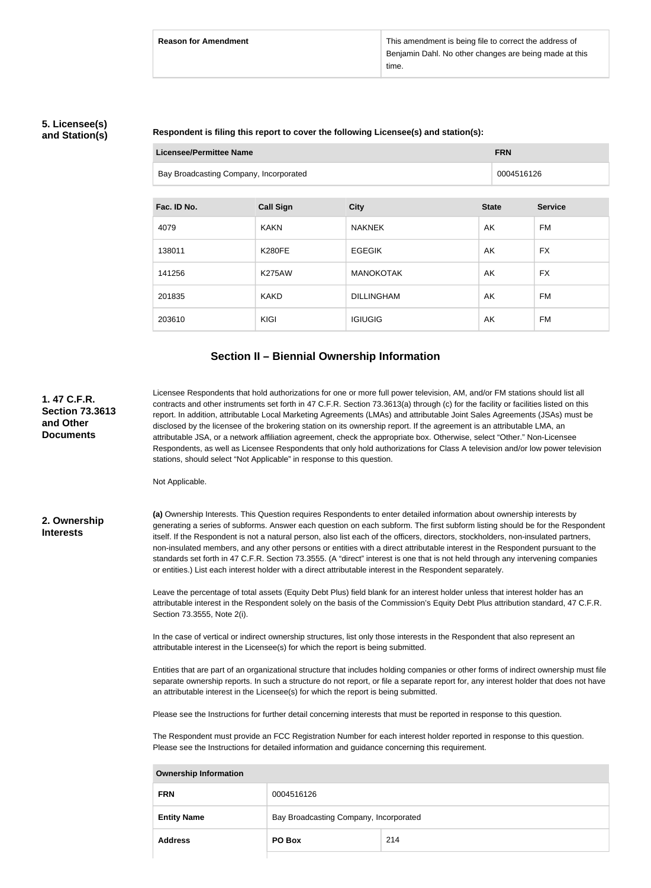### **5. Licensee(s) and Station(s)**

#### **Respondent is filing this report to cover the following Licensee(s) and station(s):**

|  | <b>Licensee/Permittee Name</b>         |                  | <b>FRN</b>        |              |                |
|--|----------------------------------------|------------------|-------------------|--------------|----------------|
|  | Bay Broadcasting Company, Incorporated |                  |                   | 0004516126   |                |
|  |                                        |                  |                   |              |                |
|  | Fac. ID No.                            | <b>Call Sign</b> | <b>City</b>       | <b>State</b> | <b>Service</b> |
|  | 4079                                   | <b>KAKN</b>      | <b>NAKNEK</b>     | AK           | FM             |
|  | 138011                                 | <b>K280FE</b>    | <b>EGEGIK</b>     | AK           | <b>FX</b>      |
|  | 141256                                 | <b>K275AW</b>    | <b>MANOKOTAK</b>  | AK           | <b>FX</b>      |
|  | 201835                                 | <b>KAKD</b>      | <b>DILLINGHAM</b> | AK           | FM             |
|  | 203610                                 | <b>KIGI</b>      | <b>IGIUGIG</b>    | AK           | FM             |

# **Section II – Biennial Ownership Information**

| 1.47 C.F.R.<br><b>Section 73.3613</b><br>and Other<br><b>Documents</b> | Licensee Respondents that hold authorizations for one or more full power television, AM, and/or FM stations should list all<br>contracts and other instruments set forth in 47 C.F.R. Section 73.3613(a) through (c) for the facility or facilities listed on this<br>report. In addition, attributable Local Marketing Agreements (LMAs) and attributable Joint Sales Agreements (JSAs) must be<br>disclosed by the licensee of the brokering station on its ownership report. If the agreement is an attributable LMA, an<br>attributable JSA, or a network affiliation agreement, check the appropriate box. Otherwise, select "Other." Non-Licensee<br>Respondents, as well as Licensee Respondents that only hold authorizations for Class A television and/or low power television<br>stations, should select "Not Applicable" in response to this question.<br>Not Applicable. |
|------------------------------------------------------------------------|---------------------------------------------------------------------------------------------------------------------------------------------------------------------------------------------------------------------------------------------------------------------------------------------------------------------------------------------------------------------------------------------------------------------------------------------------------------------------------------------------------------------------------------------------------------------------------------------------------------------------------------------------------------------------------------------------------------------------------------------------------------------------------------------------------------------------------------------------------------------------------------|
| 2. Ownership<br><b>Interests</b>                                       | (a) Ownership Interests. This Question requires Respondents to enter detailed information about ownership interests by<br>generating a series of subforms. Answer each question on each subform. The first subform listing should be for the Respondent<br>itself. If the Respondent is not a natural person, also list each of the officers, directors, stockholders, non-insulated partners,<br>non-insulated members, and any other persons or entities with a direct attributable interest in the Respondent pursuant to the<br>standards set forth in 47 C.F.R. Section 73.3555. (A "direct" interest is one that is not held through any intervening companies<br>or entities.) List each interest holder with a direct attributable interest in the Respondent separately.                                                                                                     |
|                                                                        | Leave the percentage of total assets (Equity Debt Plus) field blank for an interest holder unless that interest holder has an<br>attributable interest in the Respondent solely on the basis of the Commission's Equity Debt Plus attribution standard, 47 C.F.R.<br>Section 73.3555, Note 2(i).                                                                                                                                                                                                                                                                                                                                                                                                                                                                                                                                                                                      |
|                                                                        | In the case of vertical or indirect ownership structures, list only those interests in the Respondent that also represent an<br>attributable interest in the Licensee(s) for which the report is being submitted.                                                                                                                                                                                                                                                                                                                                                                                                                                                                                                                                                                                                                                                                     |
|                                                                        | Entities that are part of an organizational structure that includes holding companies or other forms of indirect ownership must file<br>separate ownership reports. In such a structure do not report, or file a separate report for, any interest holder that does not have<br>an attributable interest in the Licensee(s) for which the report is being submitted.                                                                                                                                                                                                                                                                                                                                                                                                                                                                                                                  |
|                                                                        | Please see the Instructions for further detail concerning interests that must be reported in response to this question.                                                                                                                                                                                                                                                                                                                                                                                                                                                                                                                                                                                                                                                                                                                                                               |
|                                                                        | The Respondent must provide an FCC Registration Number for each interest holder reported in response to this question.<br>Please see the Instructions for detailed information and guidance concerning this requirement.                                                                                                                                                                                                                                                                                                                                                                                                                                                                                                                                                                                                                                                              |
|                                                                        | <b>Ownership Information</b>                                                                                                                                                                                                                                                                                                                                                                                                                                                                                                                                                                                                                                                                                                                                                                                                                                                          |
|                                                                        |                                                                                                                                                                                                                                                                                                                                                                                                                                                                                                                                                                                                                                                                                                                                                                                                                                                                                       |

| <b>FRN</b>         | 0004516126                             |     |  |
|--------------------|----------------------------------------|-----|--|
| <b>Entity Name</b> | Bay Broadcasting Company, Incorporated |     |  |
| <b>Address</b>     | PO Box                                 | 214 |  |
|                    |                                        |     |  |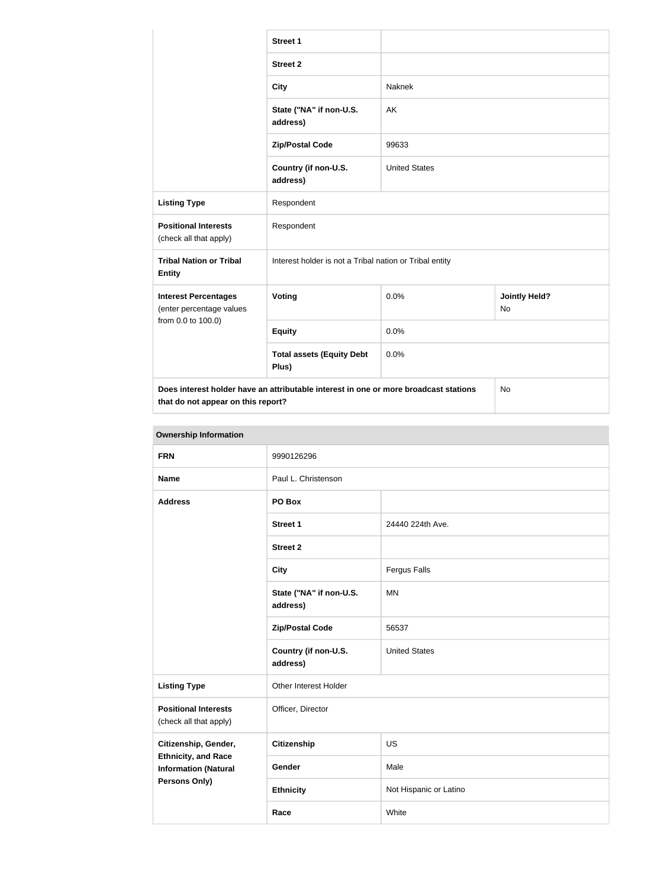|                                                                                                                            | <b>Street 1</b>                                         |                      |                            |  |
|----------------------------------------------------------------------------------------------------------------------------|---------------------------------------------------------|----------------------|----------------------------|--|
|                                                                                                                            | <b>Street 2</b>                                         |                      |                            |  |
|                                                                                                                            | <b>City</b>                                             | Naknek               |                            |  |
|                                                                                                                            | State ("NA" if non-U.S.<br>address)                     | AK                   |                            |  |
|                                                                                                                            | <b>Zip/Postal Code</b>                                  | 99633                |                            |  |
|                                                                                                                            | Country (if non-U.S.<br>address)                        | <b>United States</b> |                            |  |
| <b>Listing Type</b>                                                                                                        | Respondent                                              |                      |                            |  |
| <b>Positional Interests</b><br>(check all that apply)                                                                      | Respondent                                              |                      |                            |  |
| <b>Tribal Nation or Tribal</b><br><b>Entity</b>                                                                            | Interest holder is not a Tribal nation or Tribal entity |                      |                            |  |
| <b>Interest Percentages</b><br>(enter percentage values                                                                    | Voting                                                  | 0.0%                 | <b>Jointly Held?</b><br>No |  |
| from 0.0 to 100.0)                                                                                                         | <b>Equity</b>                                           | 0.0%                 |                            |  |
|                                                                                                                            | <b>Total assets (Equity Debt</b><br>Plus)               | 0.0%                 |                            |  |
| Does interest holder have an attributable interest in one or more broadcast stations<br>that do not appear on this report? |                                                         |                      | No                         |  |

| <b>Ownership Information</b>                              |                                     |                        |  |  |
|-----------------------------------------------------------|-------------------------------------|------------------------|--|--|
| <b>FRN</b>                                                | 9990126296                          |                        |  |  |
| <b>Name</b>                                               | Paul L. Christenson                 |                        |  |  |
| <b>Address</b>                                            | PO Box                              |                        |  |  |
|                                                           | <b>Street 1</b>                     | 24440 224th Ave.       |  |  |
|                                                           | <b>Street 2</b>                     |                        |  |  |
|                                                           | <b>City</b>                         | <b>Fergus Falls</b>    |  |  |
|                                                           | State ("NA" if non-U.S.<br>address) | <b>MN</b>              |  |  |
|                                                           | <b>Zip/Postal Code</b>              | 56537                  |  |  |
|                                                           | Country (if non-U.S.<br>address)    | <b>United States</b>   |  |  |
| <b>Listing Type</b>                                       | Other Interest Holder               |                        |  |  |
| <b>Positional Interests</b><br>(check all that apply)     | Officer, Director                   |                        |  |  |
| Citizenship, Gender,                                      | <b>Citizenship</b>                  | <b>US</b>              |  |  |
| <b>Ethnicity, and Race</b><br><b>Information (Natural</b> | Gender                              | Male                   |  |  |
| Persons Only)                                             | <b>Ethnicity</b>                    | Not Hispanic or Latino |  |  |
|                                                           | Race                                | White                  |  |  |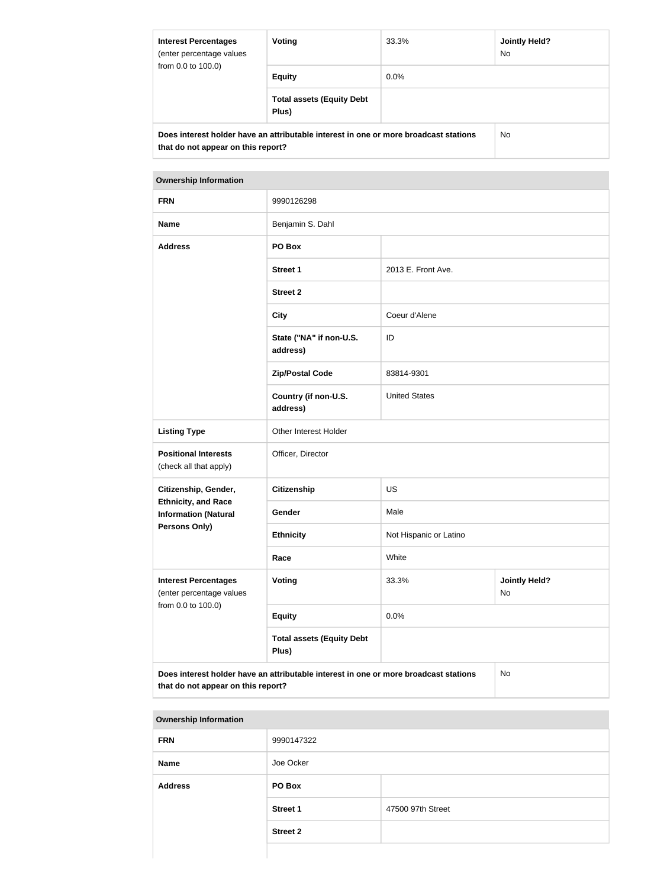| <b>Interest Percentages</b><br>(enter percentage values<br>from 0.0 to 100.0)                                              | Voting                                    | 33.3%   | Jointly Held?<br>No. |
|----------------------------------------------------------------------------------------------------------------------------|-------------------------------------------|---------|----------------------|
|                                                                                                                            | <b>Equity</b>                             | $0.0\%$ |                      |
|                                                                                                                            | <b>Total assets (Equity Debt</b><br>Plus) |         |                      |
| Does interest holder have an attributable interest in one or more broadcast stations<br>that do not appear on this report? | No.                                       |         |                      |

| <b>FRN</b>                                                                                                                       | 9990126298                                |                        |                            |
|----------------------------------------------------------------------------------------------------------------------------------|-------------------------------------------|------------------------|----------------------------|
| <b>Name</b>                                                                                                                      | Benjamin S. Dahl                          |                        |                            |
| <b>Address</b>                                                                                                                   | PO Box                                    |                        |                            |
|                                                                                                                                  | <b>Street 1</b>                           | 2013 E. Front Ave.     |                            |
|                                                                                                                                  | <b>Street 2</b>                           |                        |                            |
|                                                                                                                                  | <b>City</b>                               | Coeur d'Alene          |                            |
|                                                                                                                                  | State ("NA" if non-U.S.<br>address)       | ID                     |                            |
|                                                                                                                                  | <b>Zip/Postal Code</b>                    | 83814-9301             |                            |
|                                                                                                                                  | Country (if non-U.S.<br>address)          | <b>United States</b>   |                            |
| <b>Listing Type</b>                                                                                                              | Other Interest Holder                     |                        |                            |
| <b>Positional Interests</b><br>(check all that apply)                                                                            | Officer, Director                         |                        |                            |
| Citizenship, Gender,                                                                                                             | <b>Citizenship</b>                        | <b>US</b>              |                            |
| <b>Ethnicity, and Race</b><br><b>Information (Natural</b>                                                                        | Gender                                    | Male                   |                            |
| <b>Persons Only)</b>                                                                                                             | <b>Ethnicity</b>                          | Not Hispanic or Latino |                            |
|                                                                                                                                  | Race                                      | White                  |                            |
| <b>Interest Percentages</b><br>(enter percentage values<br>from 0.0 to 100.0)                                                    | Voting                                    | 33.3%                  | <b>Jointly Held?</b><br>No |
|                                                                                                                                  | <b>Equity</b>                             | 0.0%                   |                            |
|                                                                                                                                  | <b>Total assets (Equity Debt</b><br>Plus) |                        |                            |
| Does interest holder have an attributable interest in one or more broadcast stations<br>No<br>that do not appear on this report? |                                           |                        |                            |

| <b>Ownership Information</b> |                 |                   |  |
|------------------------------|-----------------|-------------------|--|
| <b>FRN</b>                   | 9990147322      |                   |  |
| <b>Name</b>                  | Joe Ocker       |                   |  |
| <b>Address</b>               | PO Box          |                   |  |
|                              | <b>Street 1</b> | 47500 97th Street |  |
|                              | <b>Street 2</b> |                   |  |
|                              |                 |                   |  |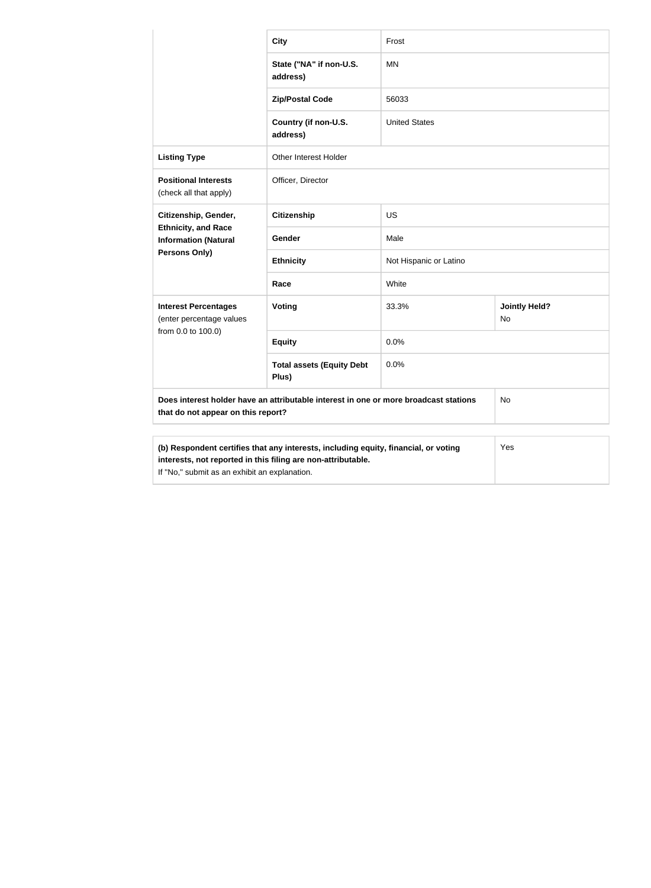|                                                                                                                                                                                                      | <b>City</b>                               | Frost                  |                            |
|------------------------------------------------------------------------------------------------------------------------------------------------------------------------------------------------------|-------------------------------------------|------------------------|----------------------------|
|                                                                                                                                                                                                      | State ("NA" if non-U.S.<br>address)       | <b>MN</b>              |                            |
|                                                                                                                                                                                                      | <b>Zip/Postal Code</b>                    | 56033                  |                            |
|                                                                                                                                                                                                      | Country (if non-U.S.<br>address)          | <b>United States</b>   |                            |
| <b>Listing Type</b>                                                                                                                                                                                  | <b>Other Interest Holder</b>              |                        |                            |
| <b>Positional Interests</b><br>(check all that apply)                                                                                                                                                | Officer, Director                         |                        |                            |
| Citizenship, Gender,<br><b>Ethnicity, and Race</b><br><b>Information (Natural</b>                                                                                                                    | <b>Citizenship</b>                        | <b>US</b>              |                            |
|                                                                                                                                                                                                      | Gender                                    | Male                   |                            |
| <b>Persons Only)</b>                                                                                                                                                                                 | <b>Ethnicity</b>                          | Not Hispanic or Latino |                            |
|                                                                                                                                                                                                      | Race                                      | White                  |                            |
| <b>Interest Percentages</b><br>(enter percentage values<br>from 0.0 to 100.0)                                                                                                                        | Voting                                    | 33.3%                  | <b>Jointly Held?</b><br>No |
|                                                                                                                                                                                                      | <b>Equity</b>                             | 0.0%                   |                            |
|                                                                                                                                                                                                      | <b>Total assets (Equity Debt</b><br>Plus) | 0.0%                   |                            |
| Does interest holder have an attributable interest in one or more broadcast stations<br>No<br>that do not appear on this report?                                                                     |                                           |                        |                            |
| (b) Respondent certifies that any interests, including equity, financial, or voting<br>interests, not reported in this filing are non-attributable.<br>If "No," submit as an exhibit an explanation. |                                           | Yes                    |                            |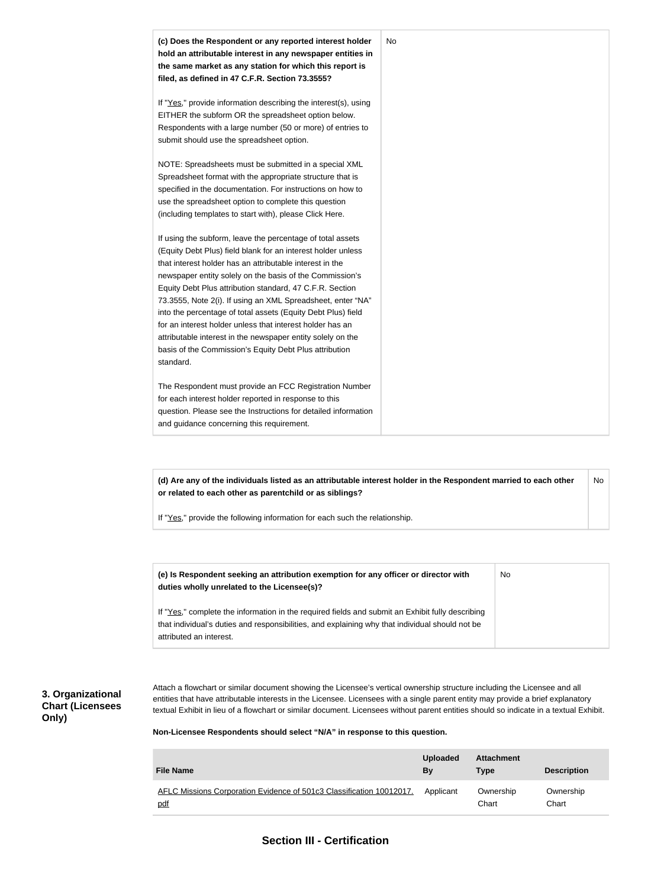

**(d) Are any of the individuals listed as an attributable interest holder in the Respondent married to each other or related to each other as parentchild or as siblings?** No

If "Yes," provide the following information for each such the relationship.

| (e) Is Respondent seeking an attribution exemption for any officer or director with<br>duties wholly unrelated to the Licensee(s)?                                                                                             | No |
|--------------------------------------------------------------------------------------------------------------------------------------------------------------------------------------------------------------------------------|----|
| If "Yes," complete the information in the required fields and submit an Exhibit fully describing<br>that individual's duties and responsibilities, and explaining why that individual should not be<br>attributed an interest. |    |

#### **3. Organizational Chart (Licensees Only)**

Attach a flowchart or similar document showing the Licensee's vertical ownership structure including the Licensee and all entities that have attributable interests in the Licensee. Licensees with a single parent entity may provide a brief explanatory textual Exhibit in lieu of a flowchart or similar document. Licensees without parent entities should so indicate in a textual Exhibit.

**Non-Licensee Respondents should select "N/A" in response to this question.**

| <b>File Name</b>                                                     | <b>Uploaded</b><br>Bv | <b>Attachment</b><br><b>Type</b> | <b>Description</b> |
|----------------------------------------------------------------------|-----------------------|----------------------------------|--------------------|
| AFLC Missions Corporation Evidence of 501c3 Classification 10012017. | Applicant             | Ownership                        | Ownership          |
| pdf                                                                  |                       | Chart                            | Chart              |